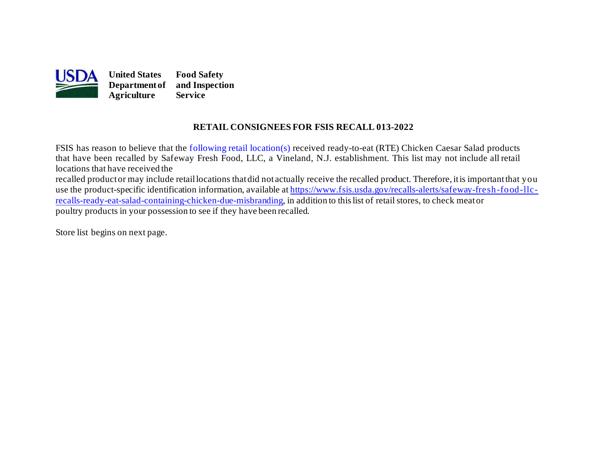

#### **RETAIL CONSIGNEES FOR FSIS RECALL 013-2022**

 that have been recalled by Safeway Fresh Food, LLC, a Vineland, N.J. establishment. This list may not include all retail locations that have received the recalled productor may include retaillocations thatdid not actually receive the recalled product. Therefore, itis importantthat you [recalls-ready-eat-salad-containing-chicken-due-misbranding](https://www.fsis.usda.gov/recalls-alerts/safeway-fresh-food-llc-recalls-ready-eat-salad-containing-chicken-due-misbranding), in addition to this list of retail stores, to check meator FSIS has reason to believe that the [following retail location\(s\)](#page-1-0) received ready-to-eat (RTE) Chicken Caesar Salad products use the product-specific identification information, available at h[ttps://www.fsis.usda.gov/recalls-alerts/safeway-fresh-food-llc](https://www.fsis.usda.gov/recalls-alerts/safeway-fresh-food-llc-recalls-ready-eat-salad-containing-chicken-due-misbranding)poultry products in your possession to see if they have been recalled.

Store list begins on [next page.](#page-1-0)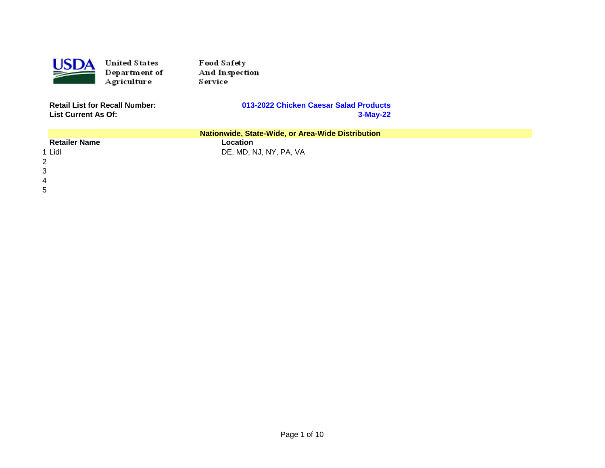<span id="page-1-0"></span>

**United States** Department of Agriculture

Food Safety And Inspection Service

**Retail List for Recall Number: List Current As Of:** 

#### 013-2022 Chicken Caesar Salad Products 3-May-22

| Nationwide, State-Wide, or Area-Wide Distribution |                        |  |
|---------------------------------------------------|------------------------|--|
| <b>Retailer Name</b>                              | Location               |  |
| 1 Lidl                                            | DE, MD, NJ, NY, PA, VA |  |
|                                                   |                        |  |
|                                                   |                        |  |
|                                                   |                        |  |

 $5\phantom{.0}$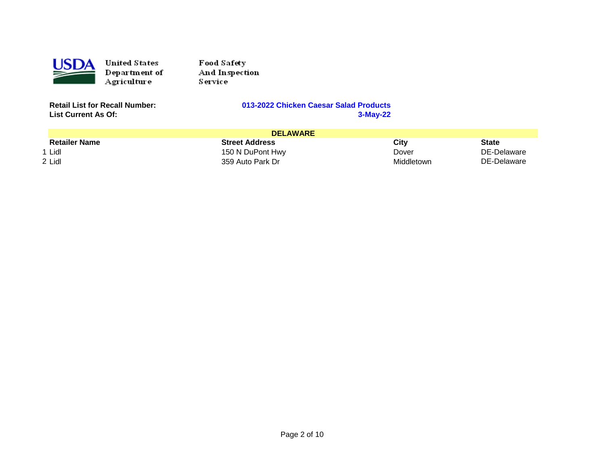

**United States** Department of Agriculture

Food Safety And Inspection Service

**Retail List for Recall Number: List Current As Of:** 

#### 013-2022 Chicken Caesar Salad Products 3-May-22

| <b>DELAWARE</b>      |                       |            |              |
|----------------------|-----------------------|------------|--------------|
| <b>Retailer Name</b> | <b>Street Address</b> | City       | <b>State</b> |
| 1 Lidl               | 150 N DuPont Hwy      | Dover      | DE-Delaware  |
| 2 Lidl               | 359 Auto Park Dr      | Middletown | DE-Delaware  |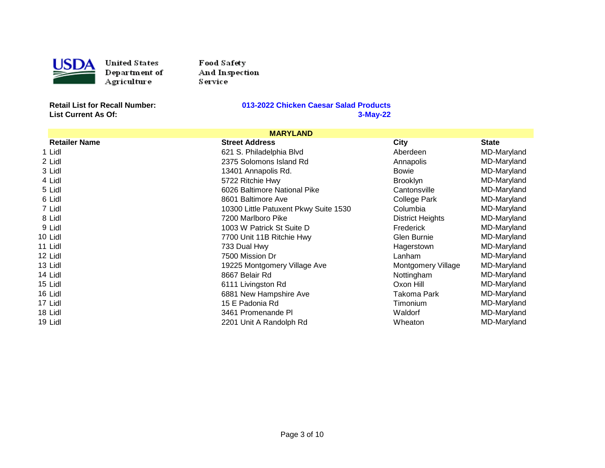

United States D ep artlu ent of .<br>Agriculture

Food Safety And Inspection Ser vice

**List Current As Of:** 

| <b>MARYLAND</b>      |                                       |                           |              |
|----------------------|---------------------------------------|---------------------------|--------------|
| <b>Retailer Name</b> | <b>Street Address</b>                 | <b>City</b>               | <b>State</b> |
| 1 Lidl               | 621 S. Philadelphia Blvd              | Aberdeen                  | MD-Maryland  |
| 2 Lidl               | 2375 Solomons Island Rd               | Annapolis                 | MD-Maryland  |
| 3 Lidl               | 13401 Annapolis Rd.                   | <b>Bowie</b>              | MD-Maryland  |
| 4 Lidl               | 5722 Ritchie Hwy                      | <b>Brooklyn</b>           | MD-Maryland  |
| 5 Lidl               | 6026 Baltimore National Pike          | Cantonsville              | MD-Maryland  |
| 6 Lidl               | 8601 Baltimore Ave                    | College Park              | MD-Maryland  |
| 7 Lidl               | 10300 Little Patuxent Pkwy Suite 1530 | Columbia                  | MD-Maryland  |
| 8 Lidl               | 7200 Marlboro Pike                    | <b>District Heights</b>   | MD-Maryland  |
| 9 Lidl               | 1003 W Patrick St Suite D             | Frederick                 | MD-Maryland  |
| 10 Lidl              | 7700 Unit 11B Ritchie Hwy             | Glen Burnie               | MD-Maryland  |
| 11 Lidl              | 733 Dual Hwy                          | Hagerstown                | MD-Maryland  |
| 12 Lidl              | 7500 Mission Dr                       | Lanham                    | MD-Maryland  |
| 13 Lidl              | 19225 Montgomery Village Ave          | <b>Montgomery Village</b> | MD-Maryland  |
| 14 Lidl              | 8667 Belair Rd                        | Nottingham                | MD-Maryland  |
| 15 Lidl              | 6111 Livingston Rd                    | Oxon Hill                 | MD-Maryland  |
| 16 Lidl              | 6881 New Hampshire Ave                | Takoma Park               | MD-Maryland  |
| 17 Lidl              | 15 E Padonia Rd                       | Timonium                  | MD-Maryland  |
| 18 Lidl              | 3461 Promenande PI                    | Waldorf                   | MD-Maryland  |
| 19 Lidl              | 2201 Unit A Randolph Rd               | Wheaton                   | MD-Maryland  |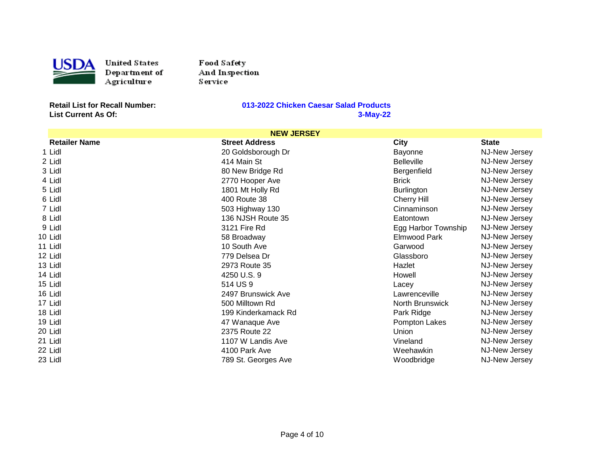

United States Department of Agriculture

Food Safety And Inspection Service

**List Current As Of:** 

| <b>NEW JERSEY</b>    |                       |                     |               |
|----------------------|-----------------------|---------------------|---------------|
| <b>Retailer Name</b> | <b>Street Address</b> | <b>City</b>         | <b>State</b>  |
| 1 Lidl               | 20 Goldsborough Dr    | Bayonne             | NJ-New Jersey |
| 2 Lidl               | 414 Main St           | <b>Belleville</b>   | NJ-New Jersey |
| 3 Lidl               | 80 New Bridge Rd      | Bergenfield         | NJ-New Jersey |
| 4 Lidl               | 2770 Hooper Ave       | <b>Brick</b>        | NJ-New Jersey |
| 5 Lidl               | 1801 Mt Holly Rd      | <b>Burlington</b>   | NJ-New Jersey |
| 6 Lidl               | 400 Route 38          | Cherry Hill         | NJ-New Jersey |
| 7 Lidl               | 503 Highway 130       | Cinnaminson         | NJ-New Jersey |
| 8 Lidl               | 136 NJSH Route 35     | Eatontown           | NJ-New Jersey |
| 9 Lidl               | 3121 Fire Rd          | Egg Harbor Township | NJ-New Jersey |
| 10 Lidl              | 58 Broadway           | Elmwood Park        | NJ-New Jersey |
| 11 Lidl              | 10 South Ave          | Garwood             | NJ-New Jersey |
| 12 Lidl              | 779 Delsea Dr         | Glassboro           | NJ-New Jersey |
| 13 Lidl              | 2973 Route 35         | Hazlet              | NJ-New Jersey |
| 14 Lidl              | 4250 U.S. 9           | Howell              | NJ-New Jersey |
| 15 Lidl              | 514 US 9              | Lacey               | NJ-New Jersey |
| 16 Lidl              | 2497 Brunswick Ave    | Lawrenceville       | NJ-New Jersey |
| 17 Lidl              | 500 Milltown Rd       | North Brunswick     | NJ-New Jersey |
| 18 Lidl              | 199 Kinderkamack Rd   | Park Ridge          | NJ-New Jersey |
| 19 Lidl              | 47 Wanaque Ave        | Pompton Lakes       | NJ-New Jersey |
| 20 Lidl              | 2375 Route 22         | Union               | NJ-New Jersey |
| 21 Lidl              | 1107 W Landis Ave     | Vineland            | NJ-New Jersey |
| 22 Lidl              | 4100 Park Ave         | Weehawkin           | NJ-New Jersey |
| 23 Lidl              | 789 St. Georges Ave   | Woodbridge          | NJ-New Jersey |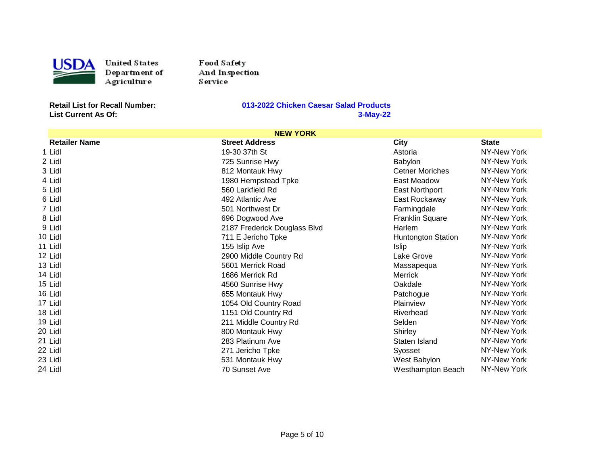

United States D ep artlu ent of .<br>Agriculture

Food Safety And Inspection Ser vice

**List Current As Of:** 

| <b>NEW YORK</b>      |                              |                           |              |  |
|----------------------|------------------------------|---------------------------|--------------|--|
| <b>Retailer Name</b> | <b>Street Address</b>        | <b>City</b>               | <b>State</b> |  |
| 1 Lidl               | 19-30 37th St                | Astoria                   | NY-New York  |  |
| 2 Lidl               | 725 Sunrise Hwy              | Babylon                   | NY-New York  |  |
| 3 Lidl               | 812 Montauk Hwy              | <b>Cetner Moriches</b>    | NY-New York  |  |
| 4 Lidl               | 1980 Hempstead Tpke          | East Meadow               | NY-New York  |  |
| 5 Lidl               | 560 Larkfield Rd             | East Northport            | NY-New York  |  |
| 6 Lidl               | 492 Atlantic Ave             | East Rockaway             | NY-New York  |  |
| 7 Lidl               | 501 Northwest Dr             | Farmingdale               | NY-New York  |  |
| 8 Lidl               | 696 Dogwood Ave              | <b>Franklin Square</b>    | NY-New York  |  |
| 9 Lidl               | 2187 Frederick Douglass Blvd | Harlem                    | NY-New York  |  |
| 10 Lidl              | 711 E Jericho Tpke           | <b>Huntongton Station</b> | NY-New York  |  |
| 11 Lidl              | 155 Islip Ave                | <b>Islip</b>              | NY-New York  |  |
| 12 Lidl              | 2900 Middle Country Rd       | Lake Grove                | NY-New York  |  |
| 13 Lidl              | 5601 Merrick Road            | Massapequa                | NY-New York  |  |
| 14 Lidl              | 1686 Merrick Rd              | <b>Merrick</b>            | NY-New York  |  |
| 15 Lidl              | 4560 Sunrise Hwy             | Oakdale                   | NY-New York  |  |
| 16 Lidl              | 655 Montauk Hwy              | Patchogue                 | NY-New York  |  |
| 17 Lidl              | 1054 Old Country Road        | Plainview                 | NY-New York  |  |
| 18 Lidl              | 1151 Old Country Rd          | Riverhead                 | NY-New York  |  |
| 19 Lidl              | 211 Middle Country Rd        | Selden                    | NY-New York  |  |
| 20 Lidl              | 800 Montauk Hwy              | Shirley                   | NY-New York  |  |
| 21 Lidl              | 283 Platinum Ave             | Staten Island             | NY-New York  |  |
| 22 Lidl              | 271 Jericho Tpke             | Syosset                   | NY-New York  |  |
| 23 Lidl              | 531 Montauk Hwy              | West Babylon              | NY-New York  |  |
| 24 Lidl              | 70 Sunset Ave                | <b>Westhampton Beach</b>  | NY-New York  |  |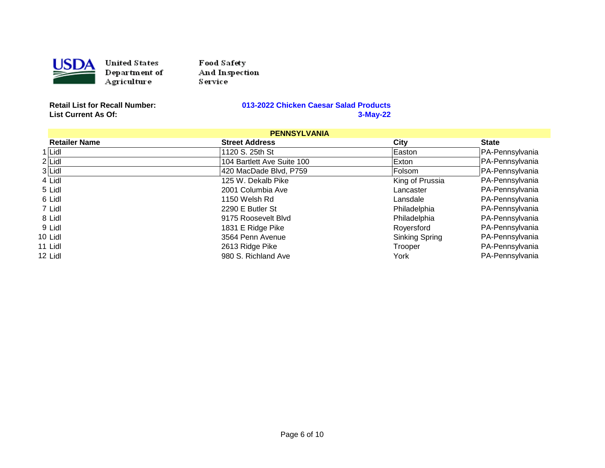

United States Department of Agriculture

Food Safety And Inspection Service

**List Current As Of:** 

| <b>PENNSYLVANIA</b>  |                            |                       |                 |
|----------------------|----------------------------|-----------------------|-----------------|
| <b>Retailer Name</b> | <b>Street Address</b>      | City                  | <b>State</b>    |
| 1 Lidl               | 1120 S. 25th St            | Easton                | PA-Pennsylvania |
| $2$ Lidl             | 104 Bartlett Ave Suite 100 | Exton                 | PA-Pennsylvania |
| 3 Lidl               | 420 MacDade Blvd, P759     | Folsom                | PA-Pennsylvania |
| 4 Lidl               | 125 W. Dekalb Pike         | King of Prussia       | PA-Pennsylvania |
| 5 Lidl               | 2001 Columbia Ave          | Lancaster             | PA-Pennsylvania |
| 6 Lidl               | 1150 Welsh Rd              | Lansdale              | PA-Pennsylvania |
| 7 Lidl               | 2290 E Butler St           | Philadelphia          | PA-Pennsylvania |
| 8 Lidl               | 9175 Roosevelt Blvd        | Philadelphia          | PA-Pennsylvania |
| 9 Lidl               | 1831 E Ridge Pike          | Royersford            | PA-Pennsylvania |
| 10 Lidl              | 3564 Penn Avenue           | <b>Sinking Spring</b> | PA-Pennsylvania |
| 11 Lidl              | 2613 Ridge Pike            | Trooper               | PA-Pennsylvania |
| 12 Lidl              | 980 S. Richland Ave        | York                  | PA-Pennsylvania |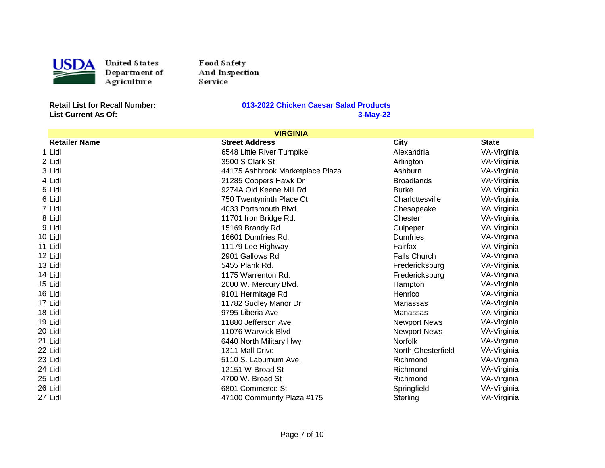

United States D ep artlu ent of .<br>Agriculture

Food Safety And Inspection Ser vice

**List Current As Of:** 

| <b>VIRGINIA</b>      |                                  |                     |              |
|----------------------|----------------------------------|---------------------|--------------|
| <b>Retailer Name</b> | <b>Street Address</b>            | <b>City</b>         | <b>State</b> |
| 1 Lidl               | 6548 Little River Turnpike       | Alexandria          | VA-Virginia  |
| 2 Lidl               | 3500 S Clark St                  | Arlington           | VA-Virginia  |
| 3 Lidl               | 44175 Ashbrook Marketplace Plaza | Ashburn             | VA-Virginia  |
| 4 Lidl               | 21285 Coopers Hawk Dr            | <b>Broadlands</b>   | VA-Virginia  |
| 5 Lidl               | 9274A Old Keene Mill Rd          | <b>Burke</b>        | VA-Virginia  |
| 6 Lidl               | 750 Twentyninth Place Ct         | Charlottesville     | VA-Virginia  |
| 7 Lidl               | 4033 Portsmouth Blvd.            | Chesapeake          | VA-Virginia  |
| 8 Lidl               | 11701 Iron Bridge Rd.            | Chester             | VA-Virginia  |
| 9 Lidl               | 15169 Brandy Rd.                 | Culpeper            | VA-Virginia  |
| 10 Lidl              | 16601 Dumfries Rd.               | <b>Dumfries</b>     | VA-Virginia  |
| 11 Lidl              | 11179 Lee Highway                | Fairfax             | VA-Virginia  |
| 12 Lidl              | 2901 Gallows Rd                  | <b>Falls Church</b> | VA-Virginia  |
| 13 Lidl              | 5455 Plank Rd.                   | Fredericksburg      | VA-Virginia  |
| 14 Lidl              | 1175 Warrenton Rd.               | Fredericksburg      | VA-Virginia  |
| 15 Lidl              | 2000 W. Mercury Blvd.            | Hampton             | VA-Virginia  |
| 16 Lidl              | 9101 Hermitage Rd                | Henrico             | VA-Virginia  |
| 17 Lidl              | 11782 Sudley Manor Dr            | Manassas            | VA-Virginia  |
| 18 Lidl              | 9795 Liberia Ave                 | Manassas            | VA-Virginia  |
| 19 Lidl              | 11880 Jefferson Ave              | <b>Newport News</b> | VA-Virginia  |
| 20 Lidl              | 11076 Warwick Blvd               | <b>Newport News</b> | VA-Virginia  |
| 21 Lidl              | 6440 North Military Hwy          | <b>Norfolk</b>      | VA-Virginia  |
| 22 Lidl              | 1311 Mall Drive                  | North Chesterfield  | VA-Virginia  |
| 23 Lidl              | 5110 S. Laburnum Ave.            | Richmond            | VA-Virginia  |
| 24 Lidl              | 12151 W Broad St                 | Richmond            | VA-Virginia  |
| 25 Lidl              | 4700 W. Broad St                 | Richmond            | VA-Virginia  |
| 26 Lidl              | 6801 Commerce St                 | Springfield         | VA-Virginia  |
| 27 Lidl              | 47100 Community Plaza #175       | Sterling            | VA-Virginia  |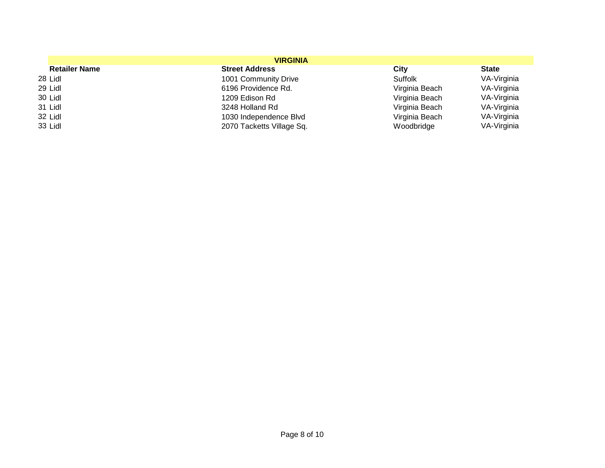| <b>VIRGINIA</b>      |                           |                |              |
|----------------------|---------------------------|----------------|--------------|
| <b>Retailer Name</b> | <b>Street Address</b>     | City           | <b>State</b> |
| 28 Lidl              | 1001 Community Drive      | <b>Suffolk</b> | VA-Virginia  |
| 29 Lidl              | 6196 Providence Rd.       | Virginia Beach | VA-Virginia  |
| 30 Lidl              | 1209 Edison Rd            | Virginia Beach | VA-Virginia  |
| 31 Lidl              | 3248 Holland Rd           | Virginia Beach | VA-Virginia  |
| 32 Lidl              | 1030 Independence Blvd    | Virginia Beach | VA-Virginia  |
| 33 Lidl              | 2070 Tacketts Village Sq. | Woodbridge     | VA-Virginia  |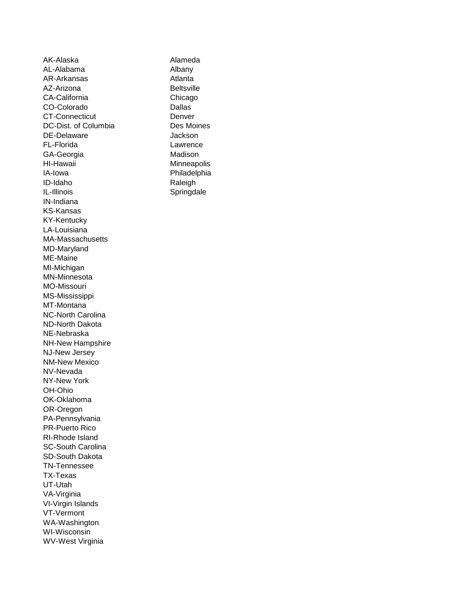AK-Alaska AL-Alabama AR-Arkansas AZ-Arizona CA-California CO-Colorado CT-Connecticut DC-Dist. of Columbia DE-Delaware FL-Florida GA-Georgia HI-Hawaii IA-Iowa ID-Idaho IL-Illinois IN-Indiana KS-Kansas KY-Kentucky LA-Louisiana MA-Massachusetts MD-Maryland ME-Maine MI-Michigan MN-Minnesota MO-Missouri MS-Mississippi MT-Montana NC-North Carolina ND-North Dakota NE-Nebraska NH-New Hampshire NJ-New Jersey NM-New Mexico NV-Nevada NY-New York OH-Ohio OK-Oklahoma OR-Oregon PA-Pennsylvania PR-Puerto Rico RI-Rhode Island SC-South Carolina SD-South Dakota TN-Tennessee TX-Texas UT-Utah VA-Virginia VI-Virgin Islands VT-Vermont WA-Washington WI-Wisconsin WV-West Virginia

Alameda Albany Atlanta **Beltsville** Chicago Dallas Denver Des Moines **Jackson** Lawrence Madison **Minneapolis** Philadelphia Raleigh Springdale